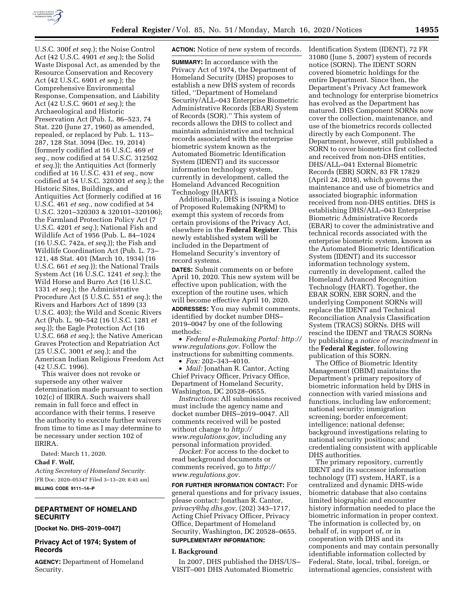

U.S.C. 300f *et seq.*); the Noise Control Act (42 U.S.C. 4901 *et seq.*); the Solid Waste Disposal Act, as amended by the Resource Conservation and Recovery Act (42 U.S.C. 6901 *et seq.*); the Comprehensive Environmental Response, Compensation, and Liability Act (42 U.S.C. 9601 *et seq.*); the Archaeological and Historic Preservation Act (Pub. L. 86–523, 74 Stat. 220 (June 27, 1960) as amended, repealed, or replaced by Pub. L. 113– 287, 128 Stat. 3094 (Dec. 19, 2014) (formerly codified at 16 U.S.C. 469 *et seq.,* now codified at 54 U.S.C. 312502 *et seq.*)); the Antiquities Act (formerly codified at 16 U.S.C. 431 *et seq.,* now codified at 54 U.S.C. 320301 *et seq.*); the Historic Sites, Buildings, and Antiquities Act (formerly codified at 16 U.S.C. 461 *et seq.,* now codified at 54 U.S.C. 3201–320303 & 320101–320106); the Farmland Protection Policy Act (7 U.S.C. 4201 *et seq.*); National Fish and Wildlife Act of 1956 (Pub. L. 84–1024 (16 U.S.C. 742a, *et seq.*)); the Fish and Wildlife Coordination Act (Pub. L. 73– 121, 48 Stat. 401 (March 10, 1934) (16 U.S.C. 661 *et seq.*)); the National Trails System Act (16 U.S.C. 1241 *et seq.*); the Wild Horse and Burro Act (16 U.S.C. 1331 *et seq.*); the Administrative Procedure Act (5 U.S.C. 551 *et seq.*); the Rivers and Harbors Act of 1899 (33 U.S.C. 403); the Wild and Scenic Rivers Act (Pub. L. 90–542 (16 U.S.C. 1281 *et seq.*)); the Eagle Protection Act (16 U.S.C. 668 *et seq.*); the Native American Graves Protection and Repatriation Act (25 U.S.C. 3001 *et seq.*); and the American Indian Religious Freedom Act (42 U.S.C. 1996).

This waiver does not revoke or supersede any other waiver determination made pursuant to section 102(c) of IIRIRA. Such waivers shall remain in full force and effect in accordance with their terms. I reserve the authority to execute further waivers from time to time as I may determine to be necessary under section 102 of IIRIRA.

Dated: March 11, 2020.

# **Chad F. Wolf,**

*Acting Secretary of Homeland Security.*  [FR Doc. 2020–05347 Filed 3–13–20; 8:45 am] **BILLING CODE 9111–14–P** 

## **DEPARTMENT OF HOMELAND SECURITY**

**[Docket No. DHS–2019–0047]** 

# **Privacy Act of 1974; System of Records**

**AGENCY:** Department of Homeland Security.

**ACTION:** Notice of new system of records.

**SUMMARY:** In accordance with the Privacy Act of 1974, the Department of Homeland Security (DHS) proposes to establish a new DHS system of records titled, ''Department of Homeland Security/ALL–043 Enterprise Biometric Administrative Records (EBAR) System of Records (SOR).'' This system of records allows the DHS to collect and maintain administrative and technical records associated with the enterprise biometric system known as the Automated Biometric Identification System (IDENT) and its successor information technology system, currently in development, called the Homeland Advanced Recognition Technology (HART).

Additionally, DHS is issuing a Notice of Proposed Rulemaking (NPRM) to exempt this system of records from certain provisions of the Privacy Act, elsewhere in the **Federal Register**. This newly established system will be included in the Department of Homeland Security's inventory of record systems.

**DATES:** Submit comments on or before April 10, 2020. This new system will be effective upon publication, with the exception of the routine uses, which will become effective April 10, 2020.

**ADDRESSES:** You may submit comments, identified by docket number DHS– 2019–0047 by one of the following methods:

• *Federal e-Rulemaking Portal: [http://](http://www.regulations.gov)  [www.regulations.gov.](http://www.regulations.gov)* Follow the instructions for submitting comments.

• *Fax:* 202–343–4010.

• *Mail:* Jonathan R. Cantor, Acting Chief Privacy Officer, Privacy Office, Department of Homeland Security, Washington, DC 20528–0655.

*Instructions:* All submissions received must include the agency name and docket number DHS–2019–0047. All comments received will be posted without change to *[http://](http://www.regulations.gov) [www.regulations.gov,](http://www.regulations.gov)* including any personal information provided.

*Docket:* For access to the docket to read background documents or comments received, go to *[http://](http://www.regulations.gov) [www.regulations.gov.](http://www.regulations.gov)* 

**FOR FURTHER INFORMATION CONTACT:** For general questions and for privacy issues, please contact: Jonathan R. Cantor, *[privacy@hq.dhs.gov,](mailto:privacy@hq.dhs.gov)* (202) 343–1717, Acting Chief Privacy Officer, Privacy Office, Department of Homeland Security, Washington, DC 20528–0655.

# **SUPPLEMENTARY INFORMATION:**

#### **I. Background**

In 2007, DHS published the DHS/US– VISIT–001 DHS Automated Biometric

Identification System (IDENT), 72 FR 31080 (June 5, 2007) system of records notice (SORN). The IDENT SORN covered biometric holdings for the entire Department. Since then, the Department's Privacy Act framework and technology for enterprise biometrics has evolved as the Department has matured. DHS Component SORNs now cover the collection, maintenance, and use of the biometrics records collected directly by each Component. The Department, however, still published a SORN to cover biometrics first collected and received from non-DHS entities, DHS/ALL–041 External Biometric Records (EBR) SORN, 83 FR 17829 (April 24, 2018), which governs the maintenance and use of biometrics and associated biographic information received from non-DHS entities. DHS is establishing DHS/ALL–043 Enterprise Biometric Administrative Records (EBAR) to cover the administrative and technical records associated with the enterprise biometric system, known as the Automated Biometric Identification System (IDENT) and its successor information technology system, currently in development, called the Homeland Advanced Recognition Technology (HART). Together, the EBAR SORN, EBR SORN, and the underlying Component SORNs will replace the IDENT and Technical Reconciliation Analysis Classification System (TRACS) SORNs. DHS will rescind the IDENT and TRACS SORNs by publishing a *notice of rescindment* in the **Federal Register**, following publication of this SORN.

The Office of Biometric Identity Management (OBIM) maintains the Department's primary repository of biometric information held by DHS in connection with varied missions and functions, including law enforcement; national security; immigration screening; border enforcement; intelligence; national defense; background investigations relating to national security positions; and credentialing consistent with applicable DHS authorities.

The primary repository, currently IDENT and its successor information technology (IT) system, HART, is a centralized and dynamic DHS-wide biometric database that also contains limited biographic and encounter history information needed to place the biometric information in proper context. The information is collected by, on behalf of, in support of, or in cooperation with DHS and its components and may contain personally identifiable information collected by Federal, State, local, tribal, foreign, or international agencies, consistent with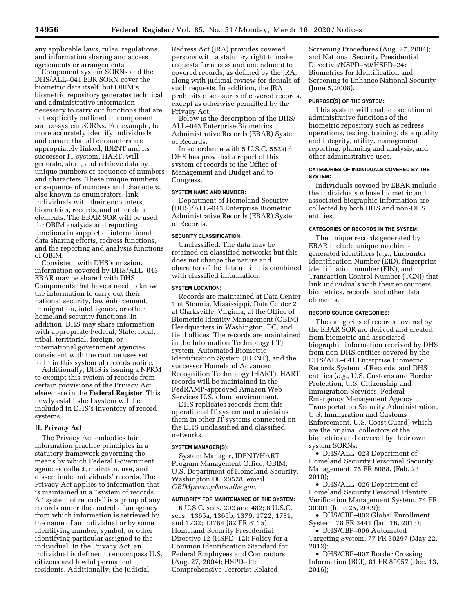any applicable laws, rules, regulations, and information sharing and access agreements or arrangements.

Component system SORNs and the DHS/ALL–041 EBR SORN cover the biometric data itself, but OBIM's biometric repository generates technical and administrative information necessary to carry out functions that are not explicitly outlined in component source-system SORNs. For example, to more accurately identify individuals and ensure that all encounters are appropriately linked, IDENT and its successor IT system, HART, will generate, store, and retrieve data by unique numbers or sequence of numbers and characters. These unique numbers or sequence of numbers and characters, also known as enumerators, link individuals with their encounters, biometrics, records, and other data elements. The EBAR SOR will be used for OBIM analysis and reporting functions in support of international data sharing efforts, redress functions, and the reporting and analysis functions of OBIM.

Consistent with DHS's mission, information covered by DHS/ALL–043 EBAR may be shared with DHS Components that have a need to know the information to carry out their national security, law enforcement, immigration, intelligence, or other homeland security functions. In addition, DHS may share information with appropriate Federal, State, local, tribal, territorial, foreign, or international government agencies consistent with the routine uses set forth in this system of records notice.

Additionally, DHS is issuing a NPRM to exempt this system of records from certain provisions of the Privacy Act elsewhere in the **Federal Register**. This newly established system will be included in DHS's inventory of record systems.

### **II. Privacy Act**

The Privacy Act embodies fair information practice principles in a statutory framework governing the means by which Federal Government agencies collect, maintain, use, and disseminate individuals' records. The Privacy Act applies to information that is maintained in a ''system of records.'' A ''system of records'' is a group of any records under the control of an agency from which information is retrieved by the name of an individual or by some identifying number, symbol, or other identifying particular assigned to the individual. In the Privacy Act, an individual is defined to encompass U.S. citizens and lawful permanent residents. Additionally, the Judicial

Redress Act (JRA) provides covered persons with a statutory right to make requests for access and amendment to covered records, as defined by the JRA, along with judicial review for denials of such requests. In addition, the JRA prohibits disclosures of covered records, except as otherwise permitted by the Privacy Act.

Below is the description of the DHS/ ALL–043 Enterprise Biometrics Administrative Records (EBAR) System of Records.

In accordance with 5 U.S.C. 552a(r), DHS has provided a report of this system of records to the Office of Management and Budget and to Congress.

#### **SYSTEM NAME AND NUMBER:**

Department of Homeland Security (DHS)/ALL–043 Enterprise Biometric Administrative Records (EBAR) System of Records.

# **SECURITY CLASSIFICATION:**

Unclassified. The data may be retained on classified networks but this does not change the nature and character of the data until it is combined with classified information.

#### **SYSTEM LOCATION:**

Records are maintained at Data Center 1 at Stennis, Mississippi, Data Center 2 at Clarksville, Virginia, at the Office of Biometric Identity Management (OBIM) Headquarters in Washington, DC, and field offices. The records are maintained in the Information Technology (IT) system, Automated Biometric Identification System (IDENT), and the successor Homeland Advanced Recognition Technology (HART). HART records will be maintained in the FedRAMP-approved Amazon Web Services U.S. cloud environment.

DHS replicates records from this operational IT system and maintains them in other IT systems connected on the DHS unclassified and classified networks.

### **SYSTEM MANAGER(S):**

System Manager, IDENT/HART Program Management Office, OBIM, U.S. Department of Homeland Security, Washington DC 20528; email *[OBIMprivacy@ice.dhs.gov.](mailto:OBIMprivacy@ice.dhs.gov)* 

### **AUTHORITY FOR MAINTENANCE OF THE SYSTEM:**

6 U.S.C. secs. 202 and 482; 8 U.S.C. secs., 1365a, 1365b, 1379, 1722, 1731, and 1732; 13764 (82 FR 8115), Homeland Security Presidential Directive 12 (HSPD–12): Policy for a Common Identification Standard for Federal Employees and Contractors (Aug. 27, 2004); HSPD–11: Comprehensive Terrorist-Related

Screening Procedures (Aug. 27, 2004); and National Security Presidential Directive/NSPD–59/HSPD–24: Biometrics for Identification and Screening to Enhance National Security (June 5, 2008).

### **PURPOSE(S) OF THE SYSTEM:**

This system will enable execution of administrative functions of the biometric repository such as redress operations, testing, training, data quality and integrity, utility, management reporting, planning and analysis, and other administrative uses.

#### **CATEGORIES OF INDIVIDUALS COVERED BY THE SYSTEM:**

Individuals covered by EBAR include the individuals whose biometric and associated biographic information are collected by both DHS and non-DHS entities.

#### **CATEGORIES OF RECORDS IN THE SYSTEM:**

The unique records generated by EBAR include unique machinegenerated identifiers (*e.g.,* Encounter Identification Number (EID), fingerprint identification number (FIN), and Transaction Control Number (TCN)) that link individuals with their encounters, biometrics, records, and other data elements.

### **RECORD SOURCE CATEGORIES:**

The categories of records covered by the EBAR SOR are derived and created from biometric and associated biographic information received by DHS from non-DHS entities covered by the DHS/ALL–041 Enterprise Biometric Records System of Records, and DHS entities (*e.g.,* U.S. Customs and Border Protection, U.S. Citizenship and Immigration Services, Federal Emergency Management Agency, Transportation Security Administration, U.S. Immigration and Customs Enforcement, U.S. Coast Guard) which are the original collectors of the biometrics and covered by their own system SORNs:

• DHS/ALL–023 Department of Homeland Security Personnel Security Management, 75 FR 8088, (Feb. 23, 2010);

• DHS/ALL–026 Department of Homeland Security Personal Identity Verification Management System, 74 FR 30301 (June 25, 2009);

• DHS/CBP–002 Global Enrollment System, 78 FR 3441 (Jan. 16, 2013);

• DHS/CBP–006 Automated Targeting System, 77 FR 30297 (May 22, 2012);

• DHS/CBP–007 Border Crossing Information (BCI), 81 FR 89957 (Dec. 13, 2016);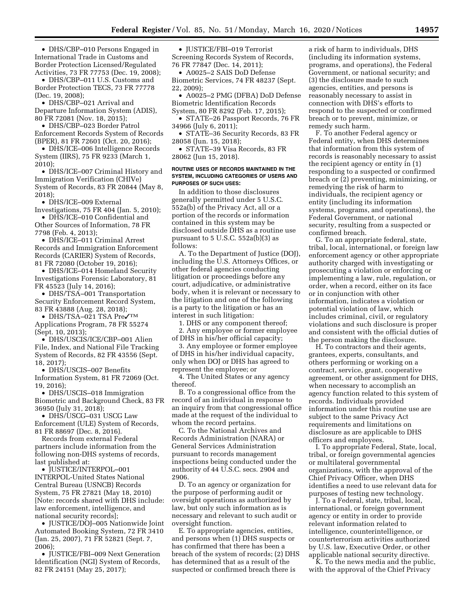• DHS/CBP–010 Persons Engaged in International Trade in Customs and Border Protection Licensed/Regulated Activities, 73 FR 77753 (Dec. 19, 2008);

• DHS/CBP–011 U.S. Customs and Border Protection TECS, 73 FR 77778 (Dec. 19, 2008);

• DHS/CBP–021 Arrival and Departure Information System (ADIS), 80 FR 72081 (Nov. 18, 2015);

• DHS/CBP–023 Border Patrol Enforcement Records System of Records (BPER), 81 FR 72601 (Oct. 20, 2016);

• DHS/ICE–006 Intelligence Records System (IIRS), 75 FR 9233 (March 1, 2010);

• DHS/ICE–007 Criminal History and Immigration Verification (CHIVe) System of Records, 83 FR 20844 (May 8,  $2018$ 

• DHS/ICE–009 External

Investigations, 75 FR 404 (Jan. 5, 2010); • DHS/ICE–010 Confidential and Other Sources of Information, 78 FR 7798 (Feb. 4, 2013);

• DHS/ICE–011 Criminal Arrest Records and Immigration Enforcement Records (CARIER) System of Records, 81 FR 72080 (October 19, 2016);

• DHS/ICE–014 Homeland Security Investigations Forensic Laboratory, 81 FR 45523 (July 14, 2016);

• DHS/TSA–001 Transportation Security Enforcement Record System, 83 FR 43888 (Aug. 28, 2018);

• DHS/TSA-021 TSA Pre√™ Applications Program, 78 FR 55274 (Sept. 10, 2013);

• DHS/USCIS/ICE/CBP–001 Alien File, Index, and National File Tracking System of Records, 82 FR 43556 (Sept. 18, 2017);

• DHS/USCIS–007 Benefits Information System, 81 FR 72069 (Oct. 19, 2016);

• DHS/USCIS–018 Immigration Biometric and Background Check, 83 FR 36950 (July 31, 2018);

• DHS/USCG–031 USCG Law Enforcement (ULE) System of Records, 81 FR 88697 (Dec. 8, 2016).

Records from external Federal partners include information from the following non-DHS systems of records, last published at:

• JUSTICE/INTERPOL–001 INTERPOL-United States National Central Bureau (USNCB) Records System, 75 FR 27821 (May 18, 2010) [Note: records shared with DHS include: law enforcement, intelligence, and national security records];

• JUSTICE/DOJ–005 Nationwide Joint Automated Booking System, 72 FR 3410 (Jan. 25, 2007), 71 FR 52821 (Sept. 7, 2006);

• JUSTICE/FBI–009 Next Generation Identification (NGI) System of Records, 82 FR 24151 (May 25, 2017);

• JUSTICE/FBI–019 Terrorist Screening Records System of Records, 76 FR 77847 (Dec. 14, 2011);

• A0025–2 SAIS DoD Defense Biometric Services, 74 FR 48237 (Sept. 22, 2009);

• A0025–2 PMG (DFBA) DoD Defense Biometric Identification Records

System, 80 FR 8292 (Feb. 17, 2015); • STATE–26 Passport Records, 76 FR 34966 (July 6, 2011);

• STATE–36 Security Records, 83 FR 28058 (Jun. 15, 2018);

• STATE–39 Visa Records, 83 FR 28062 (Jun 15, 2018).

#### **ROUTINE USES OF RECORDS MAINTAINED IN THE SYSTEM, INCLUDING CATEGORIES OF USERS AND PURPOSES OF SUCH USES:**

In addition to those disclosures generally permitted under 5 U.S.C. 552a(b) of the Privacy Act, all or a portion of the records or information contained in this system may be disclosed outside DHS as a routine use pursuant to  $5$  U.S.C.  $552a(b)(3)$  as follows:

A. To the Department of Justice (DOJ), including the U.S. Attorneys Offices, or other federal agencies conducting litigation or proceedings before any court, adjudicative, or administrative body, when it is relevant or necessary to the litigation and one of the following is a party to the litigation or has an interest in such litigation:

1. DHS or any component thereof; 2. Any employee or former employee

of DHS in his/her official capacity; 3. Any employee or former employee of DHS in his/her individual capacity, only when DOJ or DHS has agreed to represent the employee; or

4. The United States or any agency thereof.

B. To a congressional office from the record of an individual in response to an inquiry from that congressional office made at the request of the individual to whom the record pertains.

C. To the National Archives and Records Administration (NARA) or General Services Administration pursuant to records management inspections being conducted under the authority of 44 U.S.C. secs. 2904 and 2906.

D. To an agency or organization for the purpose of performing audit or oversight operations as authorized by law, but only such information as is necessary and relevant to such audit or oversight function.

E. To appropriate agencies, entities, and persons when (1) DHS suspects or has confirmed that there has been a breach of the system of records; (2) DHS has determined that as a result of the suspected or confirmed breach there is

a risk of harm to individuals, DHS (including its information systems, programs, and operations), the Federal Government, or national security; and (3) the disclosure made to such agencies, entities, and persons is reasonably necessary to assist in connection with DHS's efforts to respond to the suspected or confirmed breach or to prevent, minimize, or remedy such harm.

F. To another Federal agency or Federal entity, when DHS determines that information from this system of records is reasonably necessary to assist the recipient agency or entity in (1) responding to a suspected or confirmed breach or (2) preventing, minimizing, or remedying the risk of harm to individuals, the recipient agency or entity (including its information systems, programs, and operations), the Federal Government, or national security, resulting from a suspected or confirmed breach.

G. To an appropriate federal, state, tribal, local, international, or foreign law enforcement agency or other appropriate authority charged with investigating or prosecuting a violation or enforcing or implementing a law, rule, regulation, or order, when a record, either on its face or in conjunction with other information, indicates a violation or potential violation of law, which includes criminal, civil, or regulatory violations and such disclosure is proper and consistent with the official duties of the person making the disclosure.

H. To contractors and their agents, grantees, experts, consultants, and others performing or working on a contract, service, grant, cooperative agreement, or other assignment for DHS, when necessary to accomplish an agency function related to this system of records. Individuals provided information under this routine use are subject to the same Privacy Act requirements and limitations on disclosure as are applicable to DHS officers and employees.

I. To appropriate Federal, State, local, tribal, or foreign governmental agencies or multilateral governmental organizations, with the approval of the Chief Privacy Officer, when DHS identifies a need to use relevant data for purposes of testing new technology.

J. To a Federal, state, tribal, local, international, or foreign government agency or entity in order to provide relevant information related to intelligence, counterintelligence, or counterterrorism activities authorized by U.S. law, Executive Order, or other applicable national security directive.

K. To the news media and the public, with the approval of the Chief Privacy